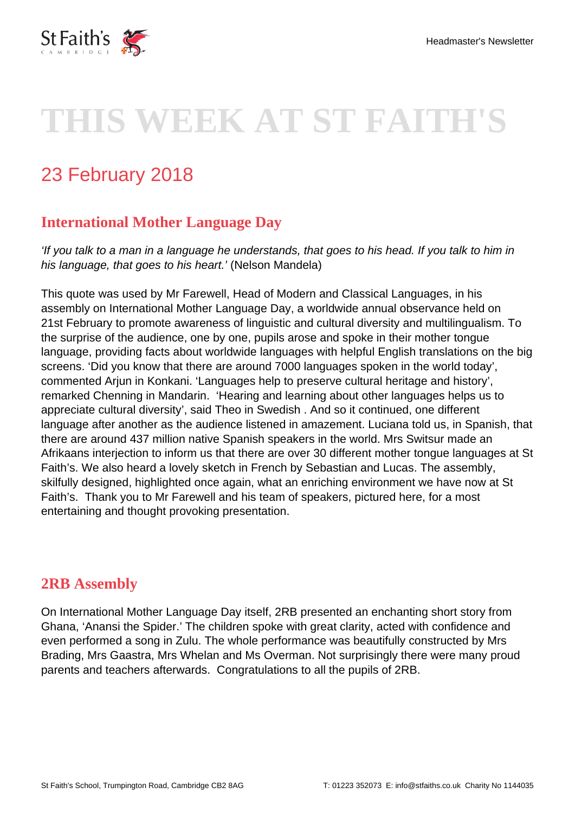

# **THIS WEEK AT ST FAITH'S**

# 23 February 2018

## **International Mother Language Day**

'If you talk to a man in a language he understands, that goes to his head. If you talk to him in his language, that goes to his heart.' (Nelson Mandela)

This quote was used by Mr Farewell, Head of Modern and Classical Languages, in his assembly on International Mother Language Day, a worldwide annual observance held on 21st February to promote awareness of linguistic and cultural diversity and multilingualism. To the surprise of the audience, one by one, pupils arose and spoke in their mother tongue language, providing facts about worldwide languages with helpful English translations on the big screens. 'Did you know that there are around 7000 languages spoken in the world today', commented Arjun in Konkani. 'Languages help to preserve cultural heritage and history', remarked Chenning in Mandarin. 'Hearing and learning about other languages helps us to appreciate cultural diversity', said Theo in Swedish . And so it continued, one different language after another as the audience listened in amazement. Luciana told us, in Spanish, that there are around 437 million native Spanish speakers in the world. Mrs Switsur made an Afrikaans interjection to inform us that there are over 30 different mother tongue languages at St Faith's. We also heard a lovely sketch in French by Sebastian and Lucas. The assembly, skilfully designed, highlighted once again, what an enriching environment we have now at St Faith's. Thank you to Mr Farewell and his team of speakers, pictured here, for a most entertaining and thought provoking presentation.

#### **2RB Assembly**

On International Mother Language Day itself, 2RB presented an enchanting short story from Ghana, 'Anansi the Spider.' The children spoke with great clarity, acted with confidence and even performed a song in Zulu. The whole performance was beautifully constructed by Mrs Brading, Mrs Gaastra, Mrs Whelan and Ms Overman. Not surprisingly there were many proud parents and teachers afterwards. Congratulations to all the pupils of 2RB.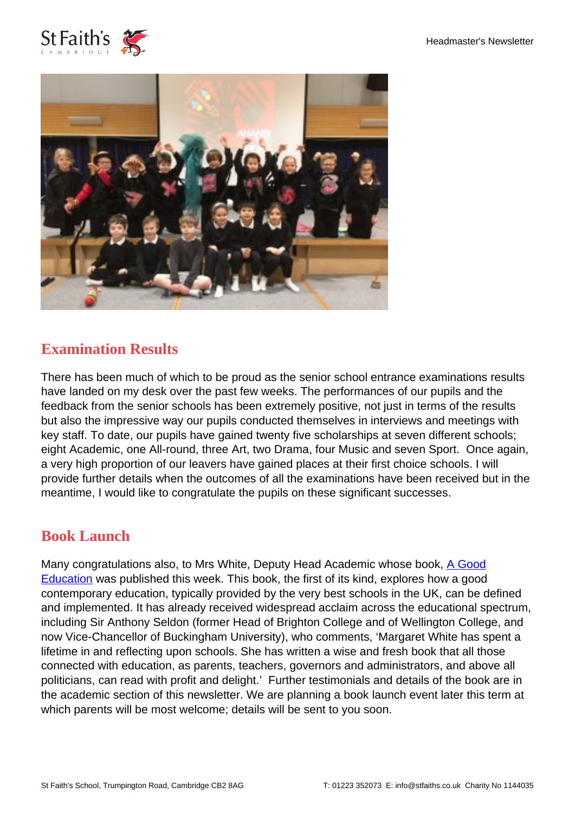



### **Examination Results**

There has been much of which to be proud as the senior school entrance examinations results have landed on my desk over the past few weeks. The performances of our pupils and the feedback from the senior schools has been extremely positive, not just in terms of the results but also the impressive way our pupils conducted themselves in interviews and meetings with key staff. To date, our pupils have gained twenty five scholarships at seven different schools; eight Academic, one All-round, three Art, two Drama, four Music and seven Sport. Once again, a very high proportion of our leavers have gained places at their first choice schools. I will provide further details when the outcomes of all the examinations have been received but in the meantime, I would like to congratulate the pupils on these significant successes.

#### **Book Launch**

Many congratulations also, to Mrs White, Deputy Head Academic whose book, [A Good](https://www.routledge.com/A-Good-Education-A-New-Model-of-Learning-to-Enrich-Every-Child/White/p/book/9781138576322) [Education](https://www.routledge.com/A-Good-Education-A-New-Model-of-Learning-to-Enrich-Every-Child/White/p/book/9781138576322) was published this week. This book, the first of its kind, explores how a good contemporary education, typically provided by the very best schools in the UK, can be defined and implemented. It has already received widespread acclaim across the educational spectrum, including Sir Anthony Seldon (former Head of Brighton College and of Wellington College, and now Vice-Chancellor of Buckingham University), who comments, 'Margaret White has spent a lifetime in and reflecting upon schools. She has written a wise and fresh book that all those connected with education, as parents, teachers, governors and administrators, and above all politicians, can read with profit and delight.' Further testimonials and details of the book are in the academic section of this newsletter. We are planning a book launch event later this term at which parents will be most welcome; details will be sent to you soon.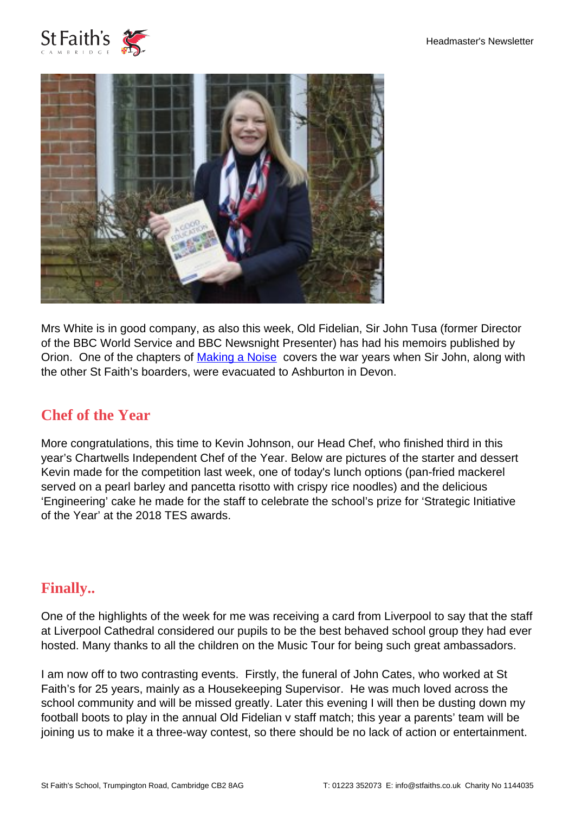



Mrs White is in good company, as also this week, Old Fidelian, Sir John Tusa (former Director of the BBC World Service and BBC Newsnight Presenter) has had his memoirs published by Orion. One of the chapters of [Making a Noise](https://www.orionbooks.co.uk/books/detail.page?isbn=9781474607100) covers the war years when Sir John, along with the other St Faith's boarders, were evacuated to Ashburton in Devon.

#### **Chef of the Year**

More congratulations, this time to Kevin Johnson, our Head Chef, who finished third in this year's Chartwells Independent Chef of the Year. Below are pictures of the starter and dessert Kevin made for the competition last week, one of today's lunch options (pan-fried mackerel served on a pearl barley and pancetta risotto with crispy rice noodles) and the delicious 'Engineering' cake he made for the staff to celebrate the school's prize for 'Strategic Initiative of the Year' at the 2018 TES awards.

#### **Finally..**

One of the highlights of the week for me was receiving a card from Liverpool to say that the staff at Liverpool Cathedral considered our pupils to be the best behaved school group they had ever hosted. Many thanks to all the children on the Music Tour for being such great ambassadors.

I am now off to two contrasting events. Firstly, the funeral of John Cates, who worked at St Faith's for 25 years, mainly as a Housekeeping Supervisor. He was much loved across the school community and will be missed greatly. Later this evening I will then be dusting down my football boots to play in the annual Old Fidelian v staff match; this year a parents' team will be joining us to make it a three-way contest, so there should be no lack of action or entertainment.